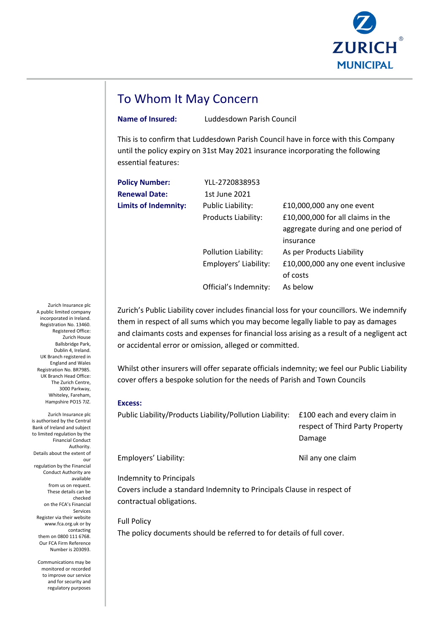

## To Whom It May Concern

**Name of Insured:** Luddesdown Parish Council

This is to confirm that Luddesdown Parish Council have in force with this Company until the policy expiry on 31st May 2021 insurance incorporating the following essential features:

| <b>Policy Number:</b>       | YLL-2720838953           |                                     |
|-----------------------------|--------------------------|-------------------------------------|
| <b>Renewal Date:</b>        | 1st June 2021            |                                     |
| <b>Limits of Indemnity:</b> | <b>Public Liability:</b> | £10,000,000 any one event           |
|                             | Products Liability:      | £10,000,000 for all claims in the   |
|                             |                          | aggregate during and one period of  |
|                             |                          | insurance                           |
|                             | Pollution Liability:     | As per Products Liability           |
|                             | Employers' Liability:    | £10,000,000 any one event inclusive |
|                             |                          | of costs                            |
|                             | Official's Indemnity:    | As below                            |
|                             |                          |                                     |

Zurich's Public Liability cover includes financial loss for your councillors. We indemnify them in respect of all sums which you may become legally liable to pay as damages and claimants costs and expenses for financial loss arising as a result of a negligent act or accidental error or omission, alleged or committed.

Whilst other insurers will offer separate officials indemnity; we feel our Public Liability cover offers a bespoke solution for the needs of Parish and Town Councils

## **Excess:**

Public Liability/Products Liability/Pollution Liability: £100 each and every claim in respect of Third Party Property Damage

Employers' Liability: Nil any one claim

Indemnity to Principals

Covers include a standard Indemnity to Principals Clause in respect of contractual obligations.

Full Policy

The policy documents should be referred to for details of full cover.

Zurich Insurance plc A public limited company incorporated in Ireland. Registration No. 13460. Registered Office: Zurich House Ballsbridge Park, Dublin 4, Ireland. UK Branch registered in England and Wales Registration No. BR7985. UK Branch Head Office: The Zurich Centre, 3000 Parkway, Whiteley, Fareham Hampshire PO15 7JZ.

Zurich Insurance plc is authorised by the Central Bank of Ireland and subject to limited regulation by the Financial Conduct Authority. Details about the extent of our regulation by the Financial Conduct Authority are available from us on request. These details can be checked on the FCA's Financial Services Register via their website www.fca.org.uk or by contacting them on 0800 111 6768. Our FCA Firm Reference Number is 203093.

> Communications may be monitored or recorded to improve our service and for security and regulatory purposes